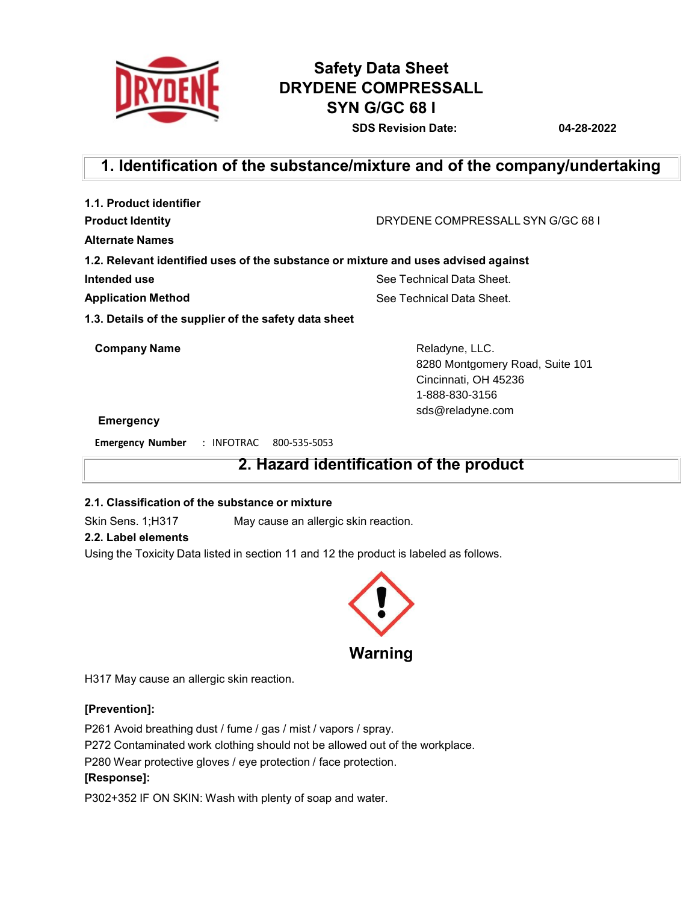

# **Safety Data Sheet DRYDENE COMPRESSALL SYN G/GC 68 I**

**SDS Revision Date: 04-28-2022**

# **1. Identification of the substance/mixture and of the company/undertaking**

| 1.1. Product identifier                                                            |                                  |
|------------------------------------------------------------------------------------|----------------------------------|
| <b>Product Identity</b>                                                            | DRYDENE COMPRESSALL SYN G/GC 681 |
| Alternate Names                                                                    |                                  |
| 1.2. Relevant identified uses of the substance or mixture and uses advised against |                                  |
| Intended use                                                                       | See Technical Data Sheet.        |
| <b>Application Method</b>                                                          | See Technical Data Sheet.        |
| 1.3. Details of the supplier of the safety data sheet                              |                                  |
| <b>Company Name</b>                                                                | Reladyne, LLC.                   |
|                                                                                    | 8280 Montgomery Road, Suite 101  |
|                                                                                    | Cincinnati, OH 45236             |
|                                                                                    | 1-888-830-3156                   |
|                                                                                    | sds@reladyne.com                 |
| <b>Emergency</b>                                                                   |                                  |

**Emergency Number** : INFOTRAC 800-535-5053

# **2. Hazard identification of the product**

# **2.1. Classification of the substance or mixture**

Skin Sens. 1;H317 May cause an allergic skin reaction.

# **2.2. Label elements**

Using the Toxicity Data listed in section 11 and 12 the product is labeled as follows.



H317 May cause an allergic skin reaction.

# **[Prevention]:**

P261 Avoid breathing dust / fume / gas / mist / vapors / spray.

P272 Contaminated work clothing should not be allowed out of the workplace.

P280 Wear protective gloves / eye protection / face protection.

# **[Response]:**

P302+352 IF ON SKIN: Wash with plenty of soap and water.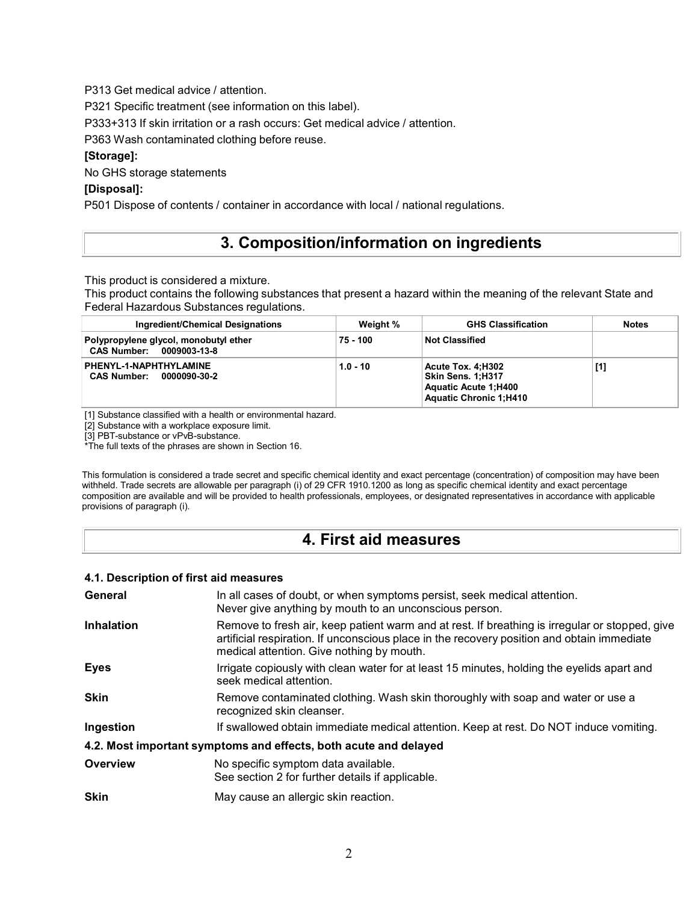P313 Get medical advice / attention.

P321 Specific treatment (see information on this label).

P333+313 If skin irritation or a rash occurs: Get medical advice / attention.

P363 Wash contaminated clothing before reuse.

## **[Storage]:**

No GHS storage statements

## **[Disposal]:**

P501 Dispose of contents / container in accordance with local / national regulations.

# **3. Composition/information on ingredients**

This product is considered a mixture.

This product contains the following substances that present a hazard within the meaning of the relevant State and Federal Hazardous Substances regulations.

| Ingredient/Chemical Designations                                  | Weight %   | <b>GHS Classification</b>                                                                              | <b>Notes</b> |
|-------------------------------------------------------------------|------------|--------------------------------------------------------------------------------------------------------|--------------|
| Polypropylene glycol, monobutyl ether<br>CAS Number: 0009003-13-8 | 75 - 100   | <b>Not Classified</b>                                                                                  |              |
| PHENYL-1-NAPHTHYLAMINE<br><b>CAS Number:</b><br>0000090-30-2      | $1.0 - 10$ | Acute Tox. 4:H302<br>Skin Sens. 1:H317<br><b>Aquatic Acute 1:H400</b><br><b>Aquatic Chronic 1:H410</b> | [1]          |

[1] Substance classified with a health or environmental hazard.

[2] Substance with a workplace exposure limit.

[3] PBT-substance or vPvB-substance.

\*The full texts of the phrases are shown in Section 16.

This formulation is considered a trade secret and specific chemical identity and exact percentage (concentration) of composition may have been withheld. Trade secrets are allowable per paragraph (i) of 29 CFR 1910.1200 as long as specific chemical identity and exact percentage composition are available and will be provided to health professionals, employees, or designated representatives in accordance with applicable provisions of paragraph (i).

# **4. First aid measures**

### **4.1. Description of first aid measures**

| <b>Inhalation</b><br>Remove to fresh air, keep patient warm and at rest. If breathing is irregular or stopped, give<br>artificial respiration. If unconscious place in the recovery position and obtain immediate<br>medical attention. Give nothing by mouth. |
|----------------------------------------------------------------------------------------------------------------------------------------------------------------------------------------------------------------------------------------------------------------|
|                                                                                                                                                                                                                                                                |
| <b>Eyes</b><br>Irrigate copiously with clean water for at least 15 minutes, holding the eyelids apart and<br>seek medical attention.                                                                                                                           |
| <b>Skin</b><br>Remove contaminated clothing. Wash skin thoroughly with soap and water or use a<br>recognized skin cleanser.                                                                                                                                    |
| Ingestion<br>If swallowed obtain immediate medical attention. Keep at rest. Do NOT induce vomiting.                                                                                                                                                            |
| 4.2. Most important symptoms and effects, both acute and delayed                                                                                                                                                                                               |
| Overview<br>No specific symptom data available.<br>See section 2 for further details if applicable.                                                                                                                                                            |
| <b>Skin</b><br>May cause an allergic skin reaction.                                                                                                                                                                                                            |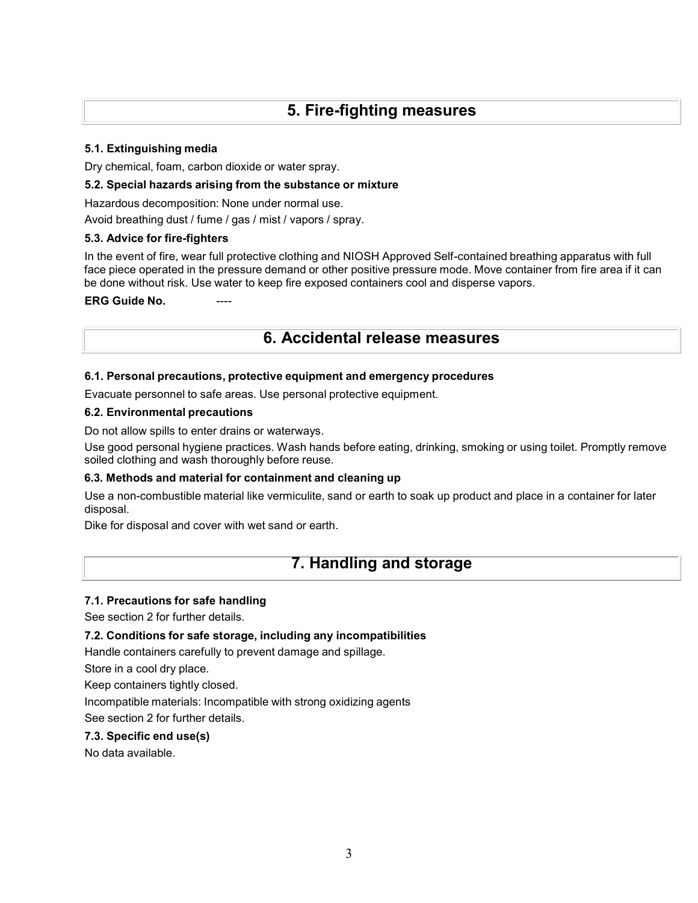# **5. Fire-fighting measures**

## **5.1. Extinguishing media**

Dry chemical, foam, carbon dioxide or water spray.

## **5.2. Special hazards arising from the substance or mixture**

Hazardous decomposition: None under normal use.

Avoid breathing dust / fume / gas / mist / vapors / spray.

## **5.3. Advice for fire-fighters**

In the event of fire, wear full protective clothing and NIOSH Approved Self-contained breathing apparatus with full face piece operated in the pressure demand or other positive pressure mode. Move container from fire area if it can be done without risk. Use water to keep fire exposed containers cool and disperse vapors.

## **ERG** Guide No.

# **6. Accidental release measures**

## **6.1. Personal precautions, protective equipment and emergency procedures**

Evacuate personnel to safe areas. Use personal protective equipment.

## **6.2. Environmental precautions**

Do not allow spills to enter drains or waterways.

Use good personal hygiene practices. Wash hands before eating, drinking, smoking or using toilet. Promptly remove soiled clothing and wash thoroughly before reuse.

## **6.3. Methods and material for containment and cleaning up**

Use a non-combustible material like vermiculite, sand or earth to soak up product and place in a container for later disposal.

Dike for disposal and cover with wet sand or earth.

# **7. Handling and storage**

## **7.1. Precautions for safe handling**

See section 2 for further details.

## **7.2. Conditions for safe storage, including any incompatibilities**

Handle containers carefully to prevent damage and spillage.

Store in a cool dry place.

Keep containers tightly closed.

Incompatible materials: Incompatible with strong oxidizing agents See section 2 for further details.

## **7.3. Specific end use(s)**

No data available.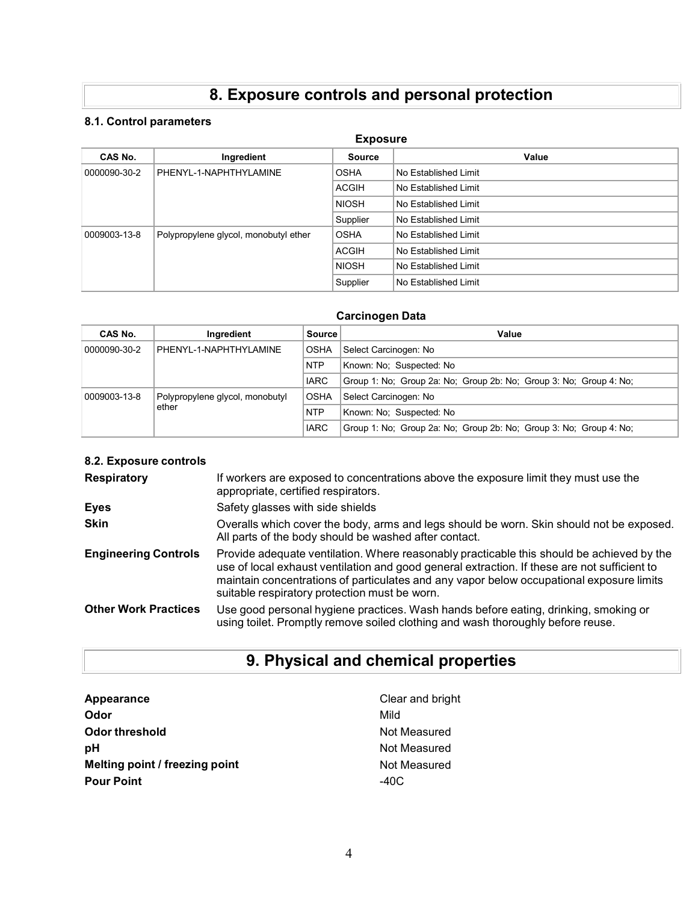# **8. Exposure controls and personal protection**

# **8.1. Control parameters**

| <b>Exposure</b> |                                       |               |                      |  |
|-----------------|---------------------------------------|---------------|----------------------|--|
| CAS No.         | Ingredient                            | <b>Source</b> | Value                |  |
| 0000090-30-2    | PHENYL-1-NAPHTHYLAMINE                | <b>OSHA</b>   | No Established Limit |  |
|                 |                                       | <b>ACGIH</b>  | No Established Limit |  |
|                 |                                       | <b>NIOSH</b>  | No Established Limit |  |
|                 |                                       | Supplier      | No Established Limit |  |
| 0009003-13-8    | Polypropylene glycol, monobutyl ether | <b>OSHA</b>   | No Established Limit |  |
|                 |                                       | <b>ACGIH</b>  | No Established Limit |  |
|                 |                                       | <b>NIOSH</b>  | No Established Limit |  |
|                 |                                       | Supplier      | No Established Limit |  |

# **Carcinogen Data**

| CAS No.               | Ingredient                      | <b>Source</b> | Value                                                              |
|-----------------------|---------------------------------|---------------|--------------------------------------------------------------------|
| 0000090-30-2          | PHENYL-1-NAPHTHYLAMINE          |               | Select Carcinogen: No                                              |
|                       |                                 |               | Known: No: Suspected: No                                           |
|                       |                                 | <b>IARC</b>   | Group 1: No: Group 2a: No: Group 2b: No: Group 3: No: Group 4: No: |
| 0009003-13-8<br>ether | Polypropylene glycol, monobutyl | <b>OSHA</b>   | Select Carcinogen: No                                              |
|                       |                                 | <b>NTP</b>    | Known: No: Suspected: No                                           |
|                       |                                 | <b>IARC</b>   | Group 1: No: Group 2a: No: Group 2b: No: Group 3: No: Group 4: No: |

# **8.2. Exposure controls**

| <b>Respiratory</b>          | If workers are exposed to concentrations above the exposure limit they must use the<br>appropriate, certified respirators.                                                                                                                                                                                                             |
|-----------------------------|----------------------------------------------------------------------------------------------------------------------------------------------------------------------------------------------------------------------------------------------------------------------------------------------------------------------------------------|
| Eyes                        | Safety glasses with side shields                                                                                                                                                                                                                                                                                                       |
| <b>Skin</b>                 | Overalls which cover the body, arms and legs should be worn. Skin should not be exposed.<br>All parts of the body should be washed after contact.                                                                                                                                                                                      |
| <b>Engineering Controls</b> | Provide adequate ventilation. Where reasonably practicable this should be achieved by the<br>use of local exhaust ventilation and good general extraction. If these are not sufficient to<br>maintain concentrations of particulates and any vapor below occupational exposure limits<br>suitable respiratory protection must be worn. |
| <b>Other Work Practices</b> | Use good personal hygiene practices. Wash hands before eating, drinking, smoking or<br>using toilet. Promptly remove soiled clothing and wash thoroughly before reuse.                                                                                                                                                                 |

# **9. Physical and chemical properties**

| Appearance                     | Clear and bright |
|--------------------------------|------------------|
| Odor                           | Mild             |
| <b>Odor threshold</b>          | Not Measured     |
| рH                             | Not Measured     |
| Melting point / freezing point | Not Measured     |
| <b>Pour Point</b>              | $-40C$           |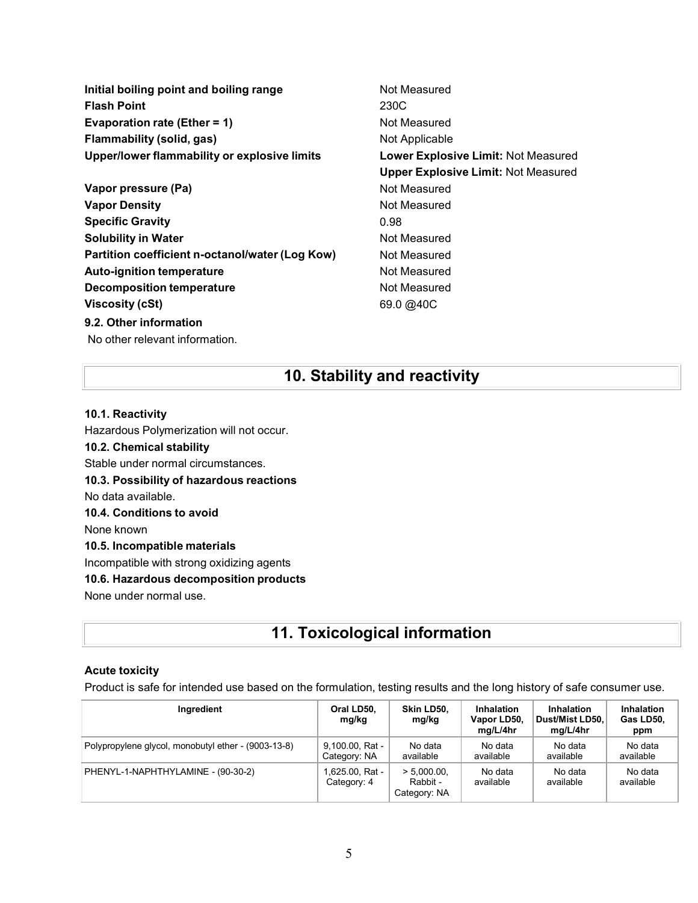**Initial boiling point and boiling range Not Measured Flash Point** 230C **Evaporation rate (Ether = 1)** Not Measured **Flammability (solid, gas)** Not Applicable **Upper/lower flammability or explosive limits Lower Explosive Limit:** Not Measured **Upper Explosive Limit:** Not Measured **Vapor pressure (Pa)** Not Measured **Vapor Density Not Measured** Not Measured **Specific Gravity** 0.98 **Solubility in Water Not Measured Not Measured Partition coefficient n-octanol/water (Log Kow)** Not Measured **Auto-ignition temperature Not Measured Decomposition temperature** Not Measured **Viscosity** (cSt) 69.0 [@40C](mailto:@40C) **9.2. Other information**

**10. Stability and reactivity**

# **10.1. Reactivity**

No other relevant information.

Hazardous Polymerization will not occur. **10.2. Chemical stability** Stable under normal circumstances. **10.3. Possibility of hazardous reactions** No data available. **10.4. Conditions to avoid** None known **10.5. Incompatible materials** Incompatible with strong oxidizing agents **10.6. Hazardous decomposition products** None under normal use.

# **11. Toxicological information**

## **Acute toxicity**

Product is safe for intended use based on the formulation, testing results and the long history of safe consumer use.

| Ingredient                                          | Oral LD50,<br>mg/kg             | Skin LD50.<br>mg/kg                        | Inhalation<br>Vapor LD50,<br>ma/L/4hr | Inhalation<br>Dust/Mist LD50,<br>mg/L/4hr | Inhalation<br>Gas LD50,<br>ppm |
|-----------------------------------------------------|---------------------------------|--------------------------------------------|---------------------------------------|-------------------------------------------|--------------------------------|
| Polypropylene glycol, monobutyl ether - (9003-13-8) | 9.100.00, Rat -<br>Category: NA | No data<br>available                       | No data<br>available                  | No data<br>available                      | No data<br>available           |
| PHENYL-1-NAPHTHYLAMINE - (90-30-2)                  | i 625.00, Rat -<br>Category: 4  | $> 5.000.00$ .<br>Rabbit -<br>Category: NA | No data<br>available                  | No data<br>available                      | No data<br>available           |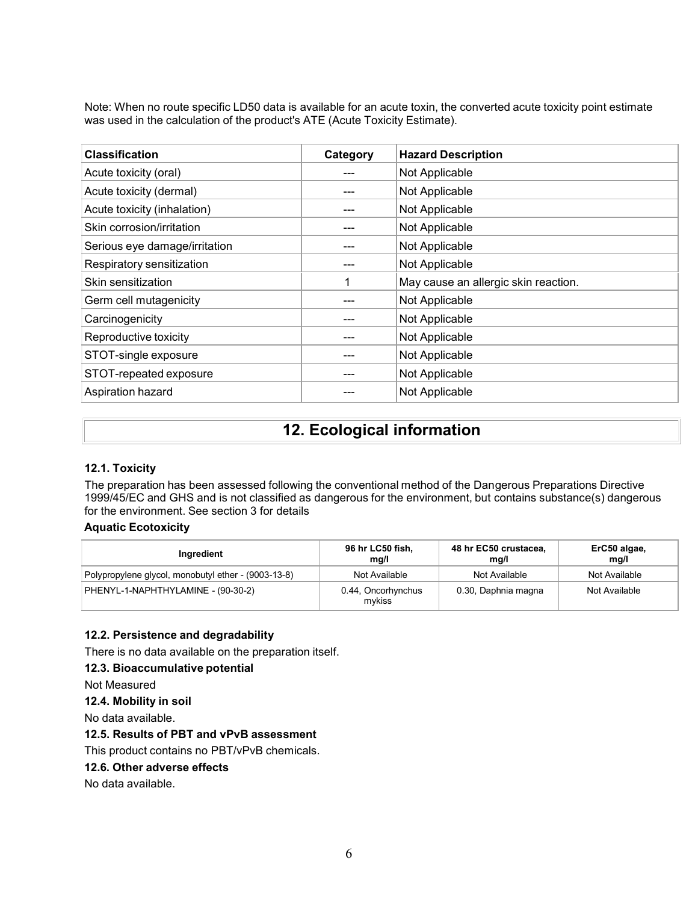Note: When no route specific LD50 data is available for an acute toxin, the converted acute toxicity point estimate was used in the calculation of the product's ATE (Acute Toxicity Estimate).

| <b>Classification</b>         | Category | <b>Hazard Description</b>            |
|-------------------------------|----------|--------------------------------------|
| Acute toxicity (oral)         |          | Not Applicable                       |
| Acute toxicity (dermal)       |          | Not Applicable                       |
| Acute toxicity (inhalation)   |          | Not Applicable                       |
| Skin corrosion/irritation     |          | Not Applicable                       |
| Serious eye damage/irritation |          | Not Applicable                       |
| Respiratory sensitization     |          | Not Applicable                       |
| Skin sensitization            |          | May cause an allergic skin reaction. |
| Germ cell mutagenicity        |          | Not Applicable                       |
| Carcinogenicity               |          | Not Applicable                       |
| Reproductive toxicity         |          | Not Applicable                       |
| STOT-single exposure          |          | Not Applicable                       |
| STOT-repeated exposure        |          | Not Applicable                       |
| Aspiration hazard             |          | Not Applicable                       |

# **12. Ecological information**

# **12.1. Toxicity**

The preparation has been assessed following the conventional method of the Dangerous Preparations Directive 1999/45/EC and GHS and is not classified as dangerous for the environment, but contains substance(s) dangerous for the environment. See section 3 for details

# **Aquatic Ecotoxicity**

| Ingredient                                          | 96 hr LC50 fish,<br>mq/l     | 48 hr EC50 crustacea,<br>mg/l | ErC50 algae,<br>mg/l |
|-----------------------------------------------------|------------------------------|-------------------------------|----------------------|
| Polypropylene glycol, monobutyl ether - (9003-13-8) | Not Available                | Not Available                 | Not Available        |
| PHENYL-1-NAPHTHYLAMINE - (90-30-2)                  | 0.44, Oncorhynchus<br>mvkiss | 0.30, Daphnia magna           | Not Available        |

# **12.2. Persistence and degradability**

There is no data available on the preparation itself.

## **12.3. Bioaccumulative potential**

Not Measured

## **12.4. Mobility in soil**

No data available.

# **12.5. Results of PBT and vPvB assessment**

## This product contains no PBT/vPvB chemicals.

**12.6. Other adverse effects**

## No data available.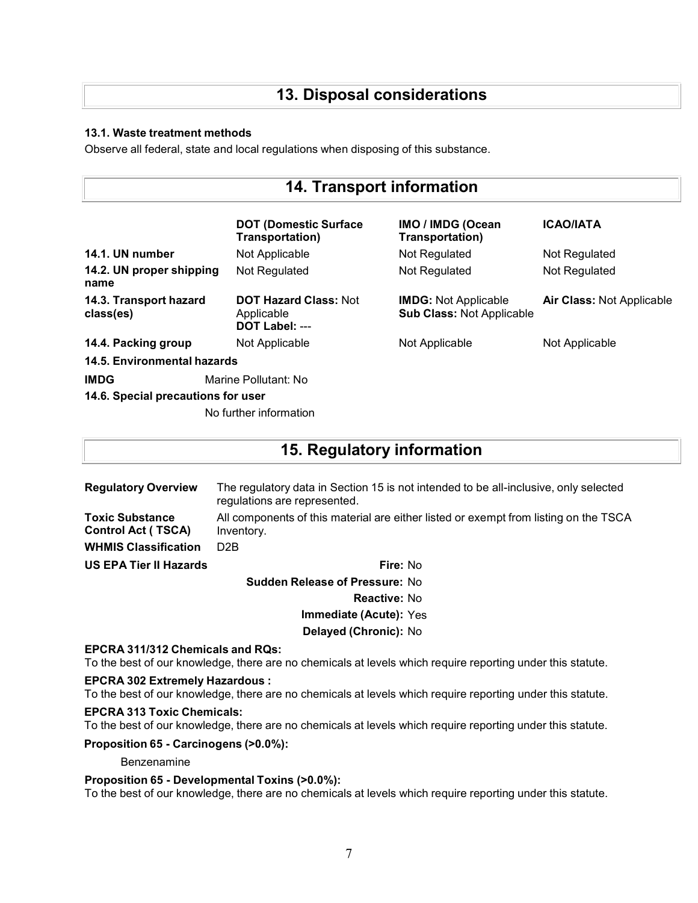# **13. Disposal considerations**

## **13.1. Waste treatment methods**

Observe all federal, state and local regulations when disposing of this substance.

| <b>14. Transport information</b>    |                                                              |                                                                 |                                  |
|-------------------------------------|--------------------------------------------------------------|-----------------------------------------------------------------|----------------------------------|
|                                     | <b>DOT (Domestic Surface)</b><br>Transportation)             | <b>IMO / IMDG (Ocean</b><br>Transportation)                     | <b>ICAO/IATA</b>                 |
| 14.1. UN number                     | Not Applicable                                               | Not Regulated                                                   | Not Regulated                    |
| 14.2. UN proper shipping<br>name    | Not Regulated                                                | Not Regulated                                                   | Not Regulated                    |
| 14.3. Transport hazard<br>class(es) | <b>DOT Hazard Class: Not</b><br>Applicable<br>DOT Label: --- | <b>IMDG: Not Applicable</b><br><b>Sub Class: Not Applicable</b> | <b>Air Class: Not Applicable</b> |
| 14.4. Packing group                 | Not Applicable                                               | Not Applicable                                                  | Not Applicable                   |
| 14.5. Environmental hazards         |                                                              |                                                                 |                                  |
| <b>IMDG</b>                         | Marine Pollutant: No                                         |                                                                 |                                  |
| 14.6. Special precautions for user  |                                                              |                                                                 |                                  |
|                                     | No further information                                       |                                                                 |                                  |

# **15. Regulatory information**

| <b>Regulatory Overview</b>                   | The regulatory data in Section 15 is not intended to be all-inclusive, only selected<br>regulations are represented. |
|----------------------------------------------|----------------------------------------------------------------------------------------------------------------------|
| Toxic Substance<br><b>Control Act (TSCA)</b> | All components of this material are either listed or exempt from listing on the TSCA<br>Inventory.                   |
| <b>WHMIS Classification</b>                  | D <sub>2</sub> B                                                                                                     |
| US EPA Tier II Hazards                       | Fire: No                                                                                                             |
|                                              | <b>Sudden Release of Pressure: No</b>                                                                                |
|                                              | <b>Reactive: No</b>                                                                                                  |

**Immediate (Acute):** Yes

**Delayed (Chronic):** No

## **EPCRA 311/312 Chemicals and RQs:**

To the best of our knowledge, there are no chemicals at levels which require reporting under this statute.

## **EPCRA 302 Extremely Hazardous :**

To the best of our knowledge, there are no chemicals at levels which require reporting under this statute.

#### **EPCRA 313 Toxic Chemicals:**

To the best of our knowledge, there are no chemicals at levels which require reporting under this statute.

**Proposition 65 - Carcinogens (>0.0%):**

Benzenamine

#### **Proposition 65 - Developmental Toxins (>0.0%):**

To the best of our knowledge, there are no chemicals at levels which require reporting under this statute.